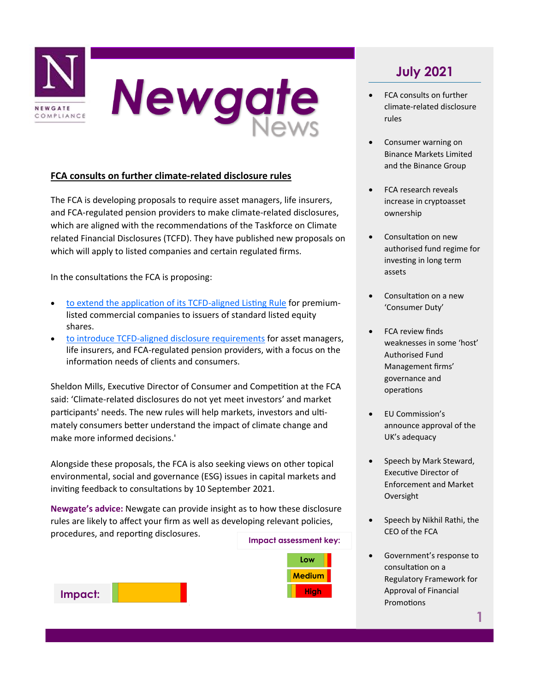

#### **FCA consults on further climate-related disclosure rules**

The FCA is developing proposals to require asset managers, life insurers, and FCA-regulated pension providers to make climate-related disclosures, which are aligned with the recommendations of the Taskforce on Climate related Financial Disclosures (TCFD). They have published new proposals on which will apply to listed companies and certain regulated firms.

In the consultations the FCA is proposing:

- [to extend the application of its TCFD](https://www.fca.org.uk/publications/consultation-papers/cp21-18-enhancing-climate-related-disclosures-standard-listed-companies)-aligned Listing Rule for premiumlisted commercial companies to issuers of standard listed equity shares.
- to introduce TCFD-[aligned disclosure requirements](https://www.fca.org.uk/publications/consultation-papers/cp-21-17-climate-related-disclosures-asset-managers-life-insurers-regulated-pensions) for asset managers, life insurers, and FCA-regulated pension providers, with a focus on the information needs of clients and consumers.

Sheldon Mills, Executive Director of Consumer and Competition at the FCA said: 'Climate-related disclosures do not yet meet investors' and market participants' needs. The new rules will help markets, investors and ultimately consumers better understand the impact of climate change and make more informed decisions.'

Alongside these proposals, the FCA is also seeking views on other topical environmental, social and governance (ESG) issues in capital markets and inviting feedback to consultations by 10 September 2021.

**Newgate's advice:** Newgate can provide insight as to how these disclosure rules are likely to affect your firm as well as developing relevant policies, procedures, and reporting disclosures.



# **July 2021**

- FCA consults on further climate-related disclosure rules
- Consumer warning on Binance Markets Limited and the Binance Group
- FCA research reveals increase in cryptoasset ownership
- Consultation on new authorised fund regime for investing in long term assets
- Consultation on a new 'Consumer Duty'
- FCA review finds weaknesses in some 'host' Authorised Fund Management firms' governance and operations
- EU Commission's announce approval of the UK's adequacy
- Speech by Mark Steward, Executive Director of Enforcement and Market Oversight
- Speech by Nikhil Rathi, the CEO of the FCA
- Government's response to consultation on a Regulatory Framework for Approval of Financial **Promotions**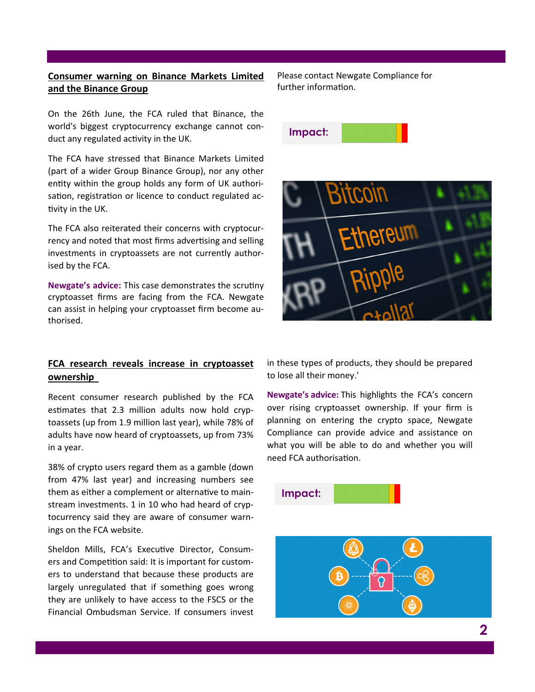### **Consumer warning on Binance Markets Limited and the Binance Group**

On the 26th June, the FCA ruled that Binance, the world's biggest cryptocurrency exchange cannot conduct any regulated activity in the UK.

The FCA have stressed that Binance Markets Limited (part of a wider Group Binance Group), nor any other entity within the group holds any form of UK authorisation, registration or licence to conduct regulated activity in the UK.

The FCA also reiterated their concerns with cryptocurrency and noted that most firms advertising and selling investments in cryptoassets are not currently authorised by the FCA.

**Newgate's advice:** This case demonstrates the scrutiny cryptoasset firms are facing from the FCA. Newgate can assist in helping your cryptoasset firm become authorised.

#### **FCA research reveals increase in cryptoasset ownership**

Recent consumer research published by the FCA estimates that 2.3 million adults now hold cryptoassets (up from 1.9 million last year), while 78% of adults have now heard of cryptoassets, up from 73% in a year.

38% of crypto users regard them as a gamble (down from 47% last year) and increasing numbers see them as either a complement or alternative to mainstream investments. 1 in 10 who had heard of cryptocurrency said they are aware of consumer warnings on the FCA website.

Sheldon Mills, FCA's Executive Director, Consumers and Competition said: It is important for customers to understand that because these products are largely unregulated that if something goes wrong they are unlikely to have access to the FSCS or the Financial Ombudsman Service. If consumers invest

Please contact Newgate Compliance for further information.





in these types of products, they should be prepared to lose all their money.'

**Newgate's advice:** This highlights the FCA's concern over rising cryptoasset ownership. If your firm is planning on entering the crypto space, Newgate Compliance can provide advice and assistance on what you will be able to do and whether you will need FCA authorisation.



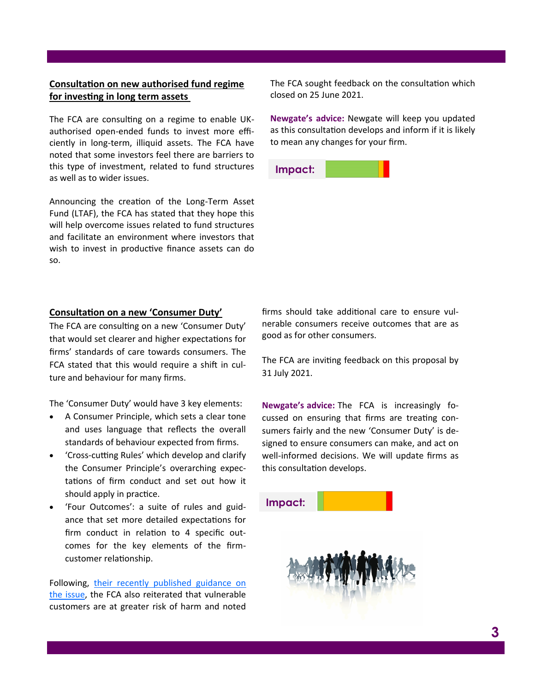### **Consultation on new authorised fund regime for investing in long term assets**

The FCA are consulting on a regime to enable UKauthorised open-ended funds to invest more efficiently in long-term, illiquid assets. The FCA have noted that some investors feel there are barriers to this type of investment, related to fund structures as well as to wider issues.

Announcing the creation of the Long-Term Asset Fund (LTAF), the FCA has stated that they hope this will help overcome issues related to fund structures and facilitate an environment where investors that wish to invest in productive finance assets can do so.

The FCA sought feedback on the consultation which closed on 25 June 2021.

**Newgate's advice:** Newgate will keep you updated as this consultation develops and inform if it is likely to mean any changes for your firm.

**Impact:**

#### **Consultation on a new 'Consumer Duty'**

The FCA are consulting on a new 'Consumer Duty' that would set clearer and higher expectations for firms' standards of care towards consumers. The FCA stated that this would require a shift in culture and behaviour for many firms.

The 'Consumer Duty' would have 3 key elements:

- A Consumer Principle, which sets a clear tone and uses language that reflects the overall standards of behaviour expected from firms.
- 'Cross-cutting Rules' which develop and clarify the Consumer Principle's overarching expectations of firm conduct and set out how it should apply in practice.
- 'Four Outcomes': a suite of rules and guidance that set more detailed expectations for firm conduct in relation to 4 specific outcomes for the key elements of the firmcustomer relationship.

Following, [their recently published guidance on](https://www.fca.org.uk/publications/finalised-guidance/guidance-firms-fair-treatment-vulnerable-customers)  [the issue,](https://www.fca.org.uk/publications/finalised-guidance/guidance-firms-fair-treatment-vulnerable-customers) the FCA also reiterated that vulnerable customers are at greater risk of harm and noted

firms should take additional care to ensure vulnerable consumers receive outcomes that are as good as for other consumers.

The FCA are inviting feedback on this proposal by 31 July 2021.

**Newgate's advice:** The FCA is increasingly focussed on ensuring that firms are treating consumers fairly and the new 'Consumer Duty' is designed to ensure consumers can make, and act on well-informed decisions. We will update firms as this consultation develops.

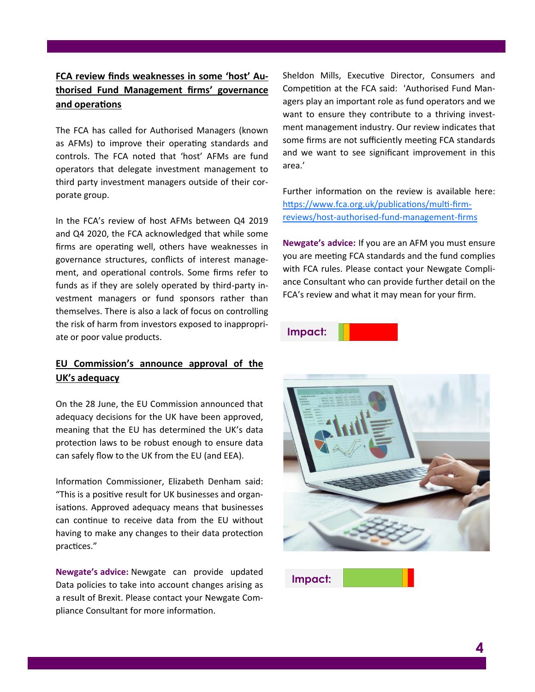### **FCA review finds weaknesses in some 'host' Authorised Fund Management firms' governance and operations**

The FCA has called for Authorised Managers (known as AFMs) to improve their operating standards and controls. The FCA noted that 'host' AFMs are fund operators that delegate investment management to third party investment managers outside of their corporate group.

In the FCA's review of host AFMs between Q4 2019 and Q4 2020, the FCA acknowledged that while some firms are operating well, others have weaknesses in governance structures, conflicts of interest management, and operational controls. Some firms refer to funds as if they are solely operated by third-party investment managers or fund sponsors rather than themselves. There is also a lack of focus on controlling the risk of harm from investors exposed to inappropriate or poor value products.

### **EU Commission's announce approval of the UK's adequacy**

On the 28 June, the EU Commission announced that adequacy decisions for the UK have been approved, meaning that the EU has determined the UK's data protection laws to be robust enough to ensure data can safely flow to the UK from the EU (and EEA).

Information Commissioner, Elizabeth Denham said: "This is a positive result for UK businesses and organisations. Approved adequacy means that businesses can continue to receive data from the EU without having to make any changes to their data protection practices."

**Newgate's advice:** Newgate can provide updated Data policies to take into account changes arising as a result of Brexit. Please contact your Newgate Compliance Consultant for more information.

Sheldon Mills, Executive Director, Consumers and Competition at the FCA said: 'Authorised Fund Managers play an important role as fund operators and we want to ensure they contribute to a thriving investment management industry. Our review indicates that some firms are not sufficiently meeting FCA standards and we want to see significant improvement in this area.'

Further information on the review is available here: [https://www.fca.org.uk/publications/multi](https://www.fca.org.uk/publications/multi-firm-reviews/host-authorised-fund-management-firms)-firmreviews/host-authorised-fund-[management](https://www.fca.org.uk/publications/multi-firm-reviews/host-authorised-fund-management-firms)-firms

**Newgate's advice:** If you are an AFM you must ensure you are meeting FCA standards and the fund complies with FCA rules. Please contact your Newgate Compliance Consultant who can provide further detail on the FCA's review and what it may mean for your firm.

### **Impact:**



**Impact:**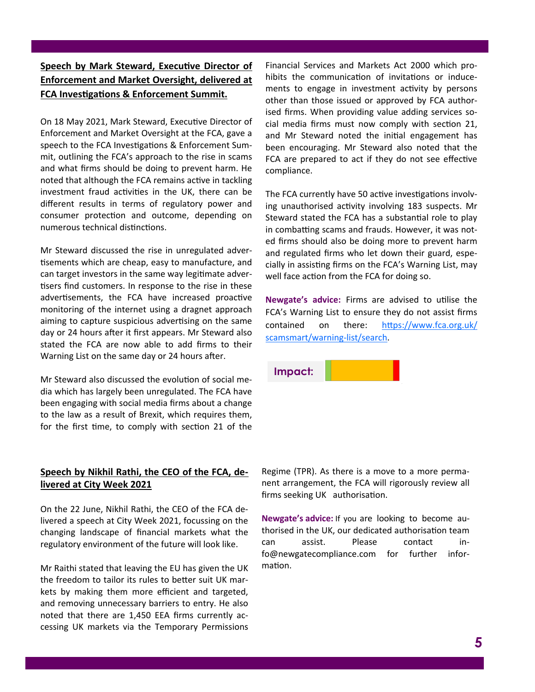## **Speech by Mark Steward, Executive Director of Enforcement and Market Oversight, delivered at FCA Investigations & Enforcement Summit.**

On 18 May 2021, Mark Steward, Executive Director of Enforcement and Market Oversight at the FCA, gave a speech to the FCA Investigations & Enforcement Summit, outlining the FCA's approach to the rise in scams and what firms should be doing to prevent harm. He noted that although the FCA remains active in tackling investment fraud activities in the UK, there can be different results in terms of regulatory power and consumer protection and outcome, depending on numerous technical distinctions.

Mr Steward discussed the rise in unregulated advertisements which are cheap, easy to manufacture, and can target investors in the same way legitimate advertisers find customers. In response to the rise in these advertisements, the FCA have increased proactive monitoring of the internet using a dragnet approach aiming to capture suspicious advertising on the same day or 24 hours after it first appears. Mr Steward also stated the FCA are now able to add firms to their Warning List on the same day or 24 hours after.

Mr Steward also discussed the evolution of social media which has largely been unregulated. The FCA have been engaging with social media firms about a change to the law as a result of Brexit, which requires them, for the first time, to comply with section 21 of the

### **Speech by Nikhil Rathi, the CEO of the FCA, delivered at City Week 2021**

On the 22 June, Nikhil Rathi, the CEO of the FCA delivered a speech at City Week 2021, focussing on the changing landscape of financial markets what the regulatory environment of the future will look like.

Mr Raithi stated that leaving the EU has given the UK the freedom to tailor its rules to better suit UK markets by making them more efficient and targeted, and removing unnecessary barriers to entry. He also noted that there are 1,450 EEA firms currently accessing UK markets via the Temporary Permissions

Financial Services and Markets Act 2000 which prohibits the communication of invitations or inducements to engage in investment activity by persons other than those issued or approved by FCA authorised firms. When providing value adding services social media firms must now comply with section 21, and Mr Steward noted the initial engagement has been encouraging. Mr Steward also noted that the FCA are prepared to act if they do not see effective compliance.

The FCA currently have 50 active investigations involving unauthorised activity involving 183 suspects. Mr Steward stated the FCA has a substantial role to play in combatting scams and frauds. However, it was noted firms should also be doing more to prevent harm and regulated firms who let down their guard, especially in assisting firms on the FCA's Warning List, may well face action from the FCA for doing so.

**Newgate's advice:** Firms are advised to utilise the FCA's Warning List to ensure they do not assist firms contained on there: [https://www.fca.org.uk/](https://www.fca.org.uk/scamsmart/warning-list/search) [scamsmart/warning](https://www.fca.org.uk/scamsmart/warning-list/search)-list/search.



Regime (TPR). As there is a move to a more permanent arrangement, the FCA will rigorously review all firms seeking UK authorisation.

**Newgate's advice:** If you are looking to become authorised in the UK, our dedicated authorisation team can assist. Please contact info@newgatecompliance.com for further information.